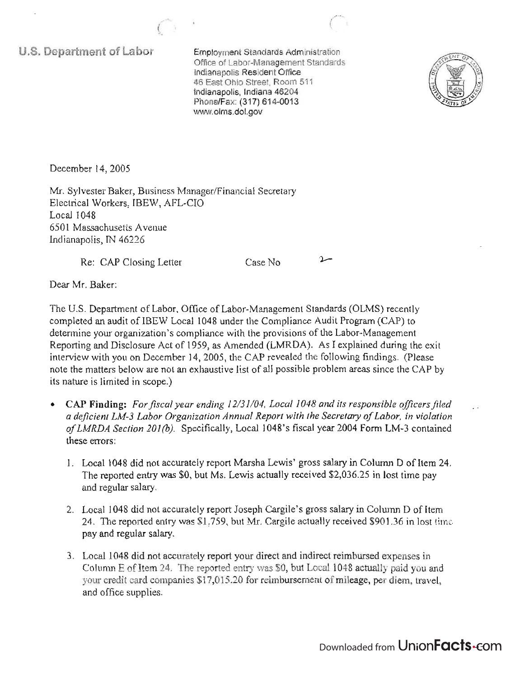**U.S. Department of Labor** 

Employment Standards Administration Office of Labor-Management Standards Indianapolis Resident Office 46 East Ohio Street, Room 511 Indianapolis, Indiana 46204 Phone/Fax: (317) 614-0013 www.olms.dol.gov



December 14,2005

Mr. Sylvester Baker, Business Manager/Financial Secretary Electrical Workers, IBEW, AFL-CIO Local 1048 6501 Massachusetts Avenue Indianapolis, IN 46226

Re: CAP Closing Letter

Case No.

 $\sim$ 

Dear Mr. Baker:

The U.S. Department of Labor, Office of Labor-Management Standards (OLMS) recently completed an audit of IBEW Local 1048 under the Compliance Audit Program (CAP) to determine your organization's compliance with the provisions of the Labor-Management Reporting and Disclosure Act of 1959, as Amended (LMRDA). As I explained during the exit interview with you on December 14,2005, the CAP revealed the following findings. (Please note the matters below are not an exhaustive list of all possible problem areas since the CAP by its nature is limited in scope.)

- CAP Finding: For fiscal year ending 12/31/04, Local 1048 and its responsible officers filed *a deficient LM-3 Labor Organization Annual Report with the Secretary of Labor, in violation of LMRDA Section 201 (b).* Specifically, Local 1048's fiscal year 2004 Form LM-3 contained these errors:
	- 1. Local 1048 did not accurately report Marsha Lewis' gross salary in Column D of Item 24. The reported entry was \$0, but Ms. Lewis actually received \$2,036.25 in lost time pay and regular salary.
	- 2. Local 1048 did not accurately report Joseph Cargile's gross salary in Column D of Item 24. The reported entry was \$1 ,759, but Mr. Cargile actually received \$901.36 in lost time pay and regular salary.
	- 3. Local 1048 did not accurately report your direct and indirect reimbursed expenses in Column E of Item 24. The reported entry was \$0, but Local 1048 actually paid you and your credit card companies \$17,015.20 for reimbursement of mileage, per diem, travel, and office supplies.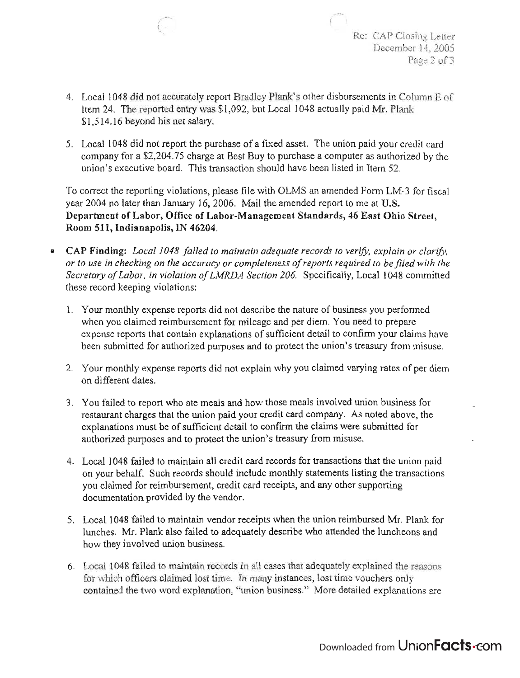- Re: CAP Closing Letter December 14, 2005 Page 2 of 3
- 4. Local 1048 did not accurately report Bradley Plank's other disbursements in Column E of Item 24. The reported entry was \$1,092, but Local 1048 actually paid Mr. Plank \$1,514.16 beyond his net salary.

,/"-- f

5. Local 1048 did not report the purchase of a fixed asset. The union paid your credit card company for a \$2,204.75 charge at Best Buy to purchase a computer as authorized by the union's executive board. This transaction should have been listed in Item 52.

To correct the reporting violations, please file with OLMS an amended Form LM-3 for fiscal year 2004 no later than January 16,2006. Mail the amended report to me at U.S. Department of Labor, Office of Labor-Management Standards, 46 East Ohio Street, Room 511, Indianapolis, IN 46204.

- CAP Finding: *Local 1048 failed to maintain adequate records to verify, explain or clarify, or to use in checking on the accuracy or completeness of reports required to be filed with the Secretary of Labor, in violation of LMRDA Section 206.* Specifically, Local 1048 committed these record keeping violations:
	- 1. Your monthly expense reports did not describe the nature of business you performed when you claimed reimbursement for mileage and per diem. You need to prepare expense reports that contain explanations of sufficient detail to confirm your claims have been submitted for authorized purposes and to protect the union's treasury from misuse.
	- 2. Your monthly expense reports did not explain why you claimed varying rates of per diem on different dates.
	- 3. You failed to report who ate meals and how those meals involved union business for restaurant charges that the union paid your credit card company. As noted above, the explanations must be of sufficient detail to confirm the claims were submitted for authorized purposes and to protect the union's treasury from misuse.
	- 4. Local 1048 failed to maintain all credit card records for transactions that the union paid on your behalf. Such records should include monthly statements listing the transactions you claimed for reimbursement, credit card receipts, and any other supporting documentation provided by the vendor.
	- 5. Local 1048 failed to maintain vendor receipts when the union reimbursed Mr. Plank for lunches. Mr. Plank also failed to adequately describe who attended the luncheons and how they involved union business.
	- 6. Local 1048 failed to maintain records in all cases that adequately explained the reasons for which officers claimed lost time. In many instances, lost time vouchers only contained the two word explanation, "union business." More detailed explanations are